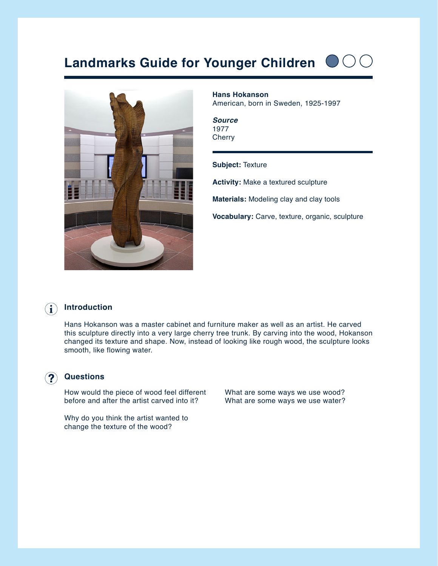# **Landmarks Guide for Younger Children**





**Hans Hokanson** American, born in Sweden, 1925-1997

*Source* 1977 **Cherry** 

**Subject:** Texture

**Activity:** Make a textured sculpture

**Materials:** Modeling clay and clay tools

**Vocabulary:** Carve, texture, organic, sculpture

#### **Introduction**  $\mathbf{i}$

Hans Hokanson was a master cabinet and furniture maker as well as an artist. He carved this sculpture directly into a very large cherry tree trunk. By carving into the wood, Hokanson changed its texture and shape. Now, instead of looking like rough wood, the sculpture looks smooth, like flowing water.

### **Questions**

How would the piece of wood feel different before and after the artist carved into it?

Why do you think the artist wanted to change the texture of the wood?

What are some ways we use wood? What are some ways we use water?